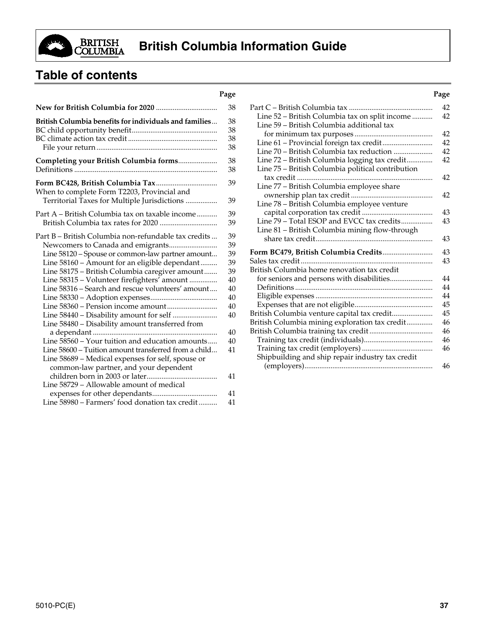

# **Table of contents**

|                                                                                                                                                                                                                                                                                                                                                                    | ຕ                                                              |
|--------------------------------------------------------------------------------------------------------------------------------------------------------------------------------------------------------------------------------------------------------------------------------------------------------------------------------------------------------------------|----------------------------------------------------------------|
|                                                                                                                                                                                                                                                                                                                                                                    | 38                                                             |
| British Columbia benefits for individuals and families                                                                                                                                                                                                                                                                                                             | 38<br>38<br>38<br>38                                           |
| Completing your British Columbia forms                                                                                                                                                                                                                                                                                                                             | 38<br>38                                                       |
| When to complete Form T2203, Provincial and<br>Territorial Taxes for Multiple Jurisdictions                                                                                                                                                                                                                                                                        | 39<br>39                                                       |
| Part A - British Columbia tax on taxable income                                                                                                                                                                                                                                                                                                                    | 39<br>39                                                       |
| Part B - British Columbia non-refundable tax credits<br>Line 58120 - Spouse or common-law partner amount<br>Line 58160 - Amount for an eligible dependant<br>Line 58175 - British Columbia caregiver amount<br>Line 58315 - Volunteer firefighters' amount<br>Line 58316 - Search and rescue volunteers' amount<br>Line 58480 - Disability amount transferred from | 39<br>39<br>39<br>39<br>39<br>40<br>40<br>40<br>40<br>40<br>40 |
| Line 58560 - Your tuition and education amounts<br>Line 58600 – Tuition amount transferred from a child<br>Line 58689 - Medical expenses for self, spouse or<br>common-law partner, and your dependent                                                                                                                                                             | 40<br>41                                                       |
| children born in 2003 or later<br>.<br>Line 58729 – Allowable amount of medical                                                                                                                                                                                                                                                                                    | 41<br>41                                                       |
| Line 58980 – Farmers' food donation tax credit                                                                                                                                                                                                                                                                                                                     | 41                                                             |
|                                                                                                                                                                                                                                                                                                                                                                    |                                                                |

#### **Page Page** Part C – British Columbia tax ............................................. 42 Line 52 – British Columbia tax on split income ........... 42 Line 59 – British Columbia additional tax for minimum tax purposes .......................................... 42 Line 61 – Provincial foreign tax credit........................... 42 Line 70 – British Columbia tax reduction ..................... 42 Line 72 – British Columbia logging tax credit.............. 42 Line 75 – British Columbia political contribution tax credit ......................................................................... 42 Line 77 – British Columbia employee share ownership plan tax credit............................................ 42 Line 78 – British Columbia employee venture capital corporation tax credit ...................................... 43 Line 79 – Total ESOP and EVCC tax credits................. 43 Line 81 – British Columbia mining flow-through share tax credit............................................................... 43 **Form BC479, British Columbia Credits**........................... 43 Sales tax credit....................................................................... 43 British Columbia home renovation tax credit for seniors and persons with disabilities....................... 44 Definitions .......................................................................... 44 Eligible expenses ............................................................... 44 Expenses that are not eligible.......................................... 45 British Columbia venture capital tax credit...................... 45 British Columbia mining exploration tax credit.............. 46 British Columbia training tax credit.................................. 46 Training tax credit (individuals)..................................... 46 Training tax credit (employers) ...................................... 46 Shipbuilding and ship repair industry tax credit (employers)..................................................................... 46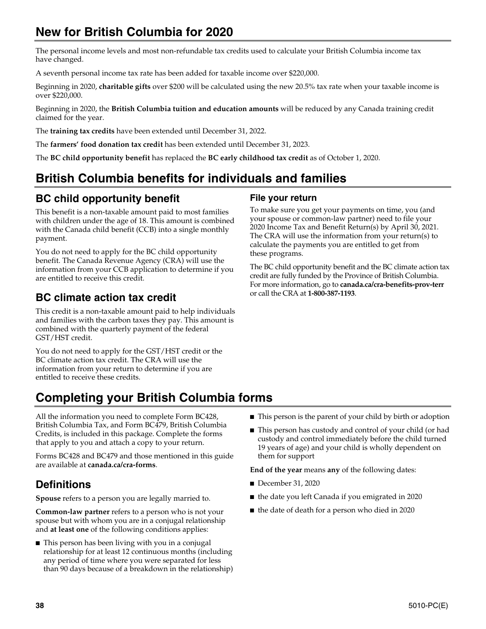# **New for British Columbia for 2020**

The personal income levels and most non-refundable tax credits used to calculate your British Columbia income tax have changed.

A seventh personal income tax rate has been added for taxable income over \$220,000.

Beginning in 2020, **charitable gifts** over \$200 will be calculated using the new 20.5% tax rate when your taxable income is over \$220,000.

Beginning in 2020, the **British Columbia tuition and education amounts** will be reduced by any Canada training credit claimed for the year.

The **training tax credits** have been extended until December 31, 2022.

The **farmers' food donation tax credit** has been extended until December 31, 2023.

The **BC child opportunity benefit** has replaced the **BC early childhood tax credit** as of October 1, 2020.

# **British Columbia benefits for individuals and families**

# **BC child opportunity benefit**

This benefit is a non-taxable amount paid to most families with children under the age of 18. This amount is combined with the Canada child benefit (CCB) into a single monthly payment.

You do not need to apply for the BC child opportunity benefit. The Canada Revenue Agency (CRA) will use the information from your CCB application to determine if you are entitled to receive this credit.

# **BC climate action tax credit**

This credit is a non-taxable amount paid to help individuals and families with the carbon taxes they pay. This amount is combined with the quarterly payment of the federal GST/HST credit.

You do not need to apply for the GST/HST credit or the BC climate action tax credit. The CRA will use the information from your return to determine if you are entitled to receive these credits.

## **File your return**

To make sure you get your payments on time, you (and your spouse or common-law partner) need to file your 2020 Income Tax and Benefit Return(s) by April 30, 2021. The CRA will use the information from your return(s) to calculate the payments you are entitled to get from these programs.

The BC child opportunity benefit and the BC climate action tax credit are fully funded by the Province of British Columbia. For more information, go to **canada.ca/cra-benefits-prov-terr**  or call the CRA at **1-800-387-1193**.

# **Completing your British Columbia forms**

All the information you need to complete Form BC428, British Columbia Tax, and Form BC479, British Columbia Credits, is included in this package. Complete the forms that apply to you and attach a copy to your return.

Forms BC428 and BC479 and those mentioned in this guide are available at **canada.ca/cra-forms**.

# **Definitions**

**Spouse** refers to a person you are legally married to.

**Common-law partner** refers to a person who is not your spouse but with whom you are in a conjugal relationship and **at least one** of the following conditions applies:

 $\blacksquare$  This person has been living with you in a conjugal relationship for at least 12 continuous months (including any period of time where you were separated for less than 90 days because of a breakdown in the relationship)

- This person is the parent of your child by birth or adoption
- This person has custody and control of your child (or had custody and control immediately before the child turned 19 years of age) and your child is wholly dependent on them for support

**End of the year** means **any** of the following dates:

- December 31, 2020
- the date you left Canada if you emigrated in 2020
- the date of death for a person who died in 2020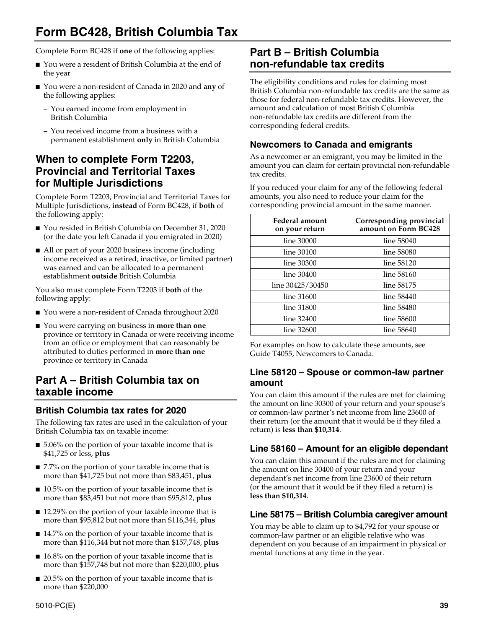# **Form BC428, British Columbia Tax**

Complete Form BC428 if **one** of the following applies:

- You were a resident of British Columbia at the end of the year
- You were a non-resident of Canada in 2020 and **any** of the following applies:
	- You earned income from employment in British Columbia
	- You received income from a business with a permanent establishment **only** in British Columbia

## **When to complete Form T2203, Provincial and Territorial Taxes for Multiple Jurisdictions**

Complete Form T2203, Provincial and Territorial Taxes for Multiple Jurisdictions, **instead** of Form BC428, if **both** of the following apply:

- You resided in British Columbia on December 31, 2020 (or the date you left Canada if you emigrated in 2020)
- All or part of your 2020 business income (including income received as a retired, inactive, or limited partner) was earned and can be allocated to a permanent establishment **outside** British Columbia

You also must complete Form T2203 if **both** of the following apply:

- You were a non-resident of Canada throughout 2020
- You were carrying on business in **more than one** province or territory in Canada or were receiving income from an office or employment that can reasonably be attributed to duties performed in **more than one** province or territory in Canada

## **Part A – British Columbia tax on taxable income**

## **British Columbia tax rates for 2020**

The following tax rates are used in the calculation of your British Columbia tax on taxable income:

- 5.06% on the portion of your taxable income that is \$41,725 or less, **plus**
- 7.7% on the portion of your taxable income that is more than \$41,725 but not more than \$83,451, **plus**
- 10.5% on the portion of your taxable income that is more than \$83,451 but not more than \$95,812, **plus**
- 12.29% on the portion of your taxable income that is more than \$95,812 but not more than \$116,344, **plus**
- 14.7% on the portion of your taxable income that is more than \$116,344 but not more than \$157,748, **plus**
- 16.8% on the portion of your taxable income that is more than \$157,748 but not more than \$220,000, **plus**
- 20.5% on the portion of your taxable income that is more than \$220,000

# **Part B – British Columbia non-refundable tax credits**

The eligibility conditions and rules for claiming most British Columbia non-refundable tax credits are the same as those for federal non-refundable tax credits. However, the amount and calculation of most British Columbia non-refundable tax credits are different from the corresponding federal credits.

## **Newcomers to Canada and emigrants**

As a newcomer or an emigrant, you may be limited in the amount you can claim for certain provincial non-refundable tax credits.

If you reduced your claim for any of the following federal amounts, you also need to reduce your claim for the corresponding provincial amount in the same manner.

| Federal amount<br>on your return | Corresponding provincial<br>amount on Form BC428 |
|----------------------------------|--------------------------------------------------|
| line 30000                       | line 58040                                       |
| line 30100                       | line 58080                                       |
| line 30300                       | line 58120                                       |
| line 30400                       | line 58160                                       |
| line 30425/30450                 | line 58175                                       |
| line 31600                       | line 58440                                       |
| line 31800                       | line 58480                                       |
| line 32400                       | line 58600                                       |
| line 32600                       | line 58640                                       |

For examples on how to calculate these amounts, see Guide T4055, Newcomers to Canada.

## **Line 58120 – Spouse or common-law partner amount**

You can claim this amount if the rules are met for claiming the amount on line 30300 of your return and your spouse's or common-law partner's net income from line 23600 of their return (or the amount that it would be if they filed a return) is **less than \$10,314**.

## **Line 58160 – Amount for an eligible dependant**

You can claim this amount if the rules are met for claiming the amount on line 30400 of your return and your dependant's net income from line 23600 of their return (or the amount that it would be if they filed a return) is **less than \$10,314**.

## **Line 58175 – British Columbia caregiver amount**

You may be able to claim up to \$4,792 for your spouse or common-law partner or an eligible relative who was dependent on you because of an impairment in physical or mental functions at any time in the year.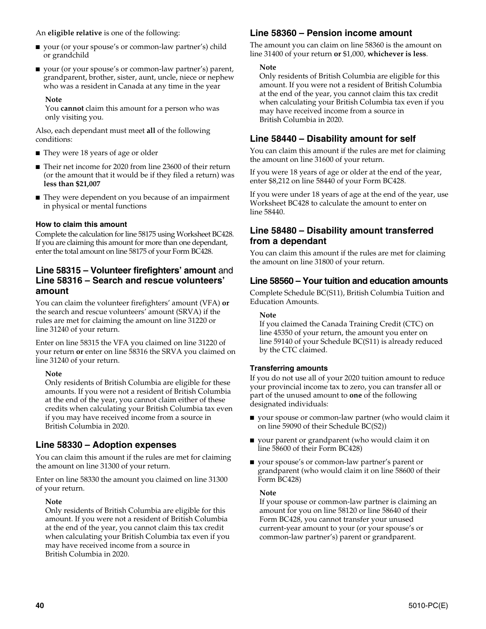An **eligible relative** is one of the following:

- your (or your spouse's or common-law partner's) child or grandchild
- your (or your spouse's or common-law partner's) parent, grandparent, brother, sister, aunt, uncle, niece or nephew who was a resident in Canada at any time in the year

#### **Note**

You **cannot** claim this amount for a person who was only visiting you.

Also, each dependant must meet **all** of the following conditions:

- They were 18 years of age or older
- Their net income for 2020 from line 23600 of their return (or the amount that it would be if they filed a return) was **less than \$21,007**
- They were dependent on you because of an impairment in physical or mental functions

### **How to claim this amount**

Complete the calculation for line 58175 using Worksheet BC428. If you are claiming this amount for more than one dependant, enter the total amount on line 58175 of your Form BC428.

## **Line 58315 – Volunteer firefighters' amount** and **Line 58316 – Search and rescue volunteers' amount**

You can claim the volunteer firefighters' amount (VFA) **or** the search and rescue volunteers' amount (SRVA) if the rules are met for claiming the amount on line 31220 or line 31240 of your return.

Enter on line 58315 the VFA you claimed on line 31220 of your return **or** enter on line 58316 the SRVA you claimed on line 31240 of your return.

#### **Note**

Only residents of British Columbia are eligible for these amounts. If you were not a resident of British Columbia at the end of the year, you cannot claim either of these credits when calculating your British Columbia tax even if you may have received income from a source in British Columbia in 2020.

## **Line 58330 – Adoption expenses**

You can claim this amount if the rules are met for claiming the amount on line 31300 of your return.

Enter on line 58330 the amount you claimed on line 31300 of your return.

#### **Note**

Only residents of British Columbia are eligible for this amount. If you were not a resident of British Columbia at the end of the year, you cannot claim this tax credit when calculating your British Columbia tax even if you may have received income from a source in British Columbia in 2020.

## **Line 58360 – Pension income amount**

The amount you can claim on line 58360 is the amount on line 31400 of your return **or** \$1,000, **whichever is less**.

#### **Note**

Only residents of British Columbia are eligible for this amount. If you were not a resident of British Columbia at the end of the year, you cannot claim this tax credit when calculating your British Columbia tax even if you may have received income from a source in British Columbia in 2020.

## **Line 58440 – Disability amount for self**

You can claim this amount if the rules are met for claiming the amount on line 31600 of your return.

If you were 18 years of age or older at the end of the year, enter \$8,212 on line 58440 of your Form BC428.

If you were under 18 years of age at the end of the year, use Worksheet BC428 to calculate the amount to enter on line 58440.

## **Line 58480 – Disability amount transferred from a dependant**

You can claim this amount if the rules are met for claiming the amount on line 31800 of your return.

## **Line 58560 – Your tuition and education amounts**

Complete Schedule BC(S11), British Columbia Tuition and Education Amounts.

#### **Note**

If you claimed the Canada Training Credit (CTC) on line 45350 of your return, the amount you enter on line 59140 of your Schedule BC(S11) is already reduced by the CTC claimed.

## **Transferring amounts**

If you do not use all of your 2020 tuition amount to reduce your provincial income tax to zero, you can transfer all or part of the unused amount to **one** of the following designated individuals:

- your spouse or common-law partner (who would claim it on line 59090 of their Schedule BC(S2))
- your parent or grandparent (who would claim it on line 58600 of their Form BC428)
- your spouse's or common-law partner's parent or grandparent (who would claim it on line 58600 of their Form BC428)

#### **Note**

If your spouse or common-law partner is claiming an amount for you on line 58120 or line 58640 of their Form BC428, you cannot transfer your unused current-year amount to your (or your spouse's or common-law partner's) parent or grandparent.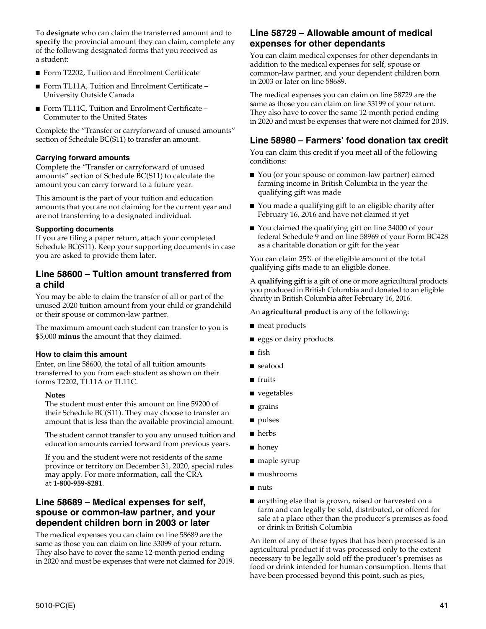To **designate** who can claim the transferred amount and to **specify** the provincial amount they can claim, complete any of the following designated forms that you received as a student:

- Form T2202, Tuition and Enrolment Certificate
- Form TL11A, Tuition and Enrolment Certificate University Outside Canada
- Form TL11C, Tuition and Enrolment Certificate Commuter to the United States

Complete the "Transfer or carryforward of unused amounts" section of Schedule BC(S11) to transfer an amount.

#### **Carrying forward amounts**

Complete the "Transfer or carryforward of unused amounts" section of Schedule BC(S11) to calculate the amount you can carry forward to a future year.

This amount is the part of your tuition and education amounts that you are not claiming for the current year and are not transferring to a designated individual.

#### **Supporting documents**

If you are filing a paper return, attach your completed Schedule BC(S11). Keep your supporting documents in case you are asked to provide them later.

## **Line 58600 – Tuition amount transferred from a child**

You may be able to claim the transfer of all or part of the unused 2020 tuition amount from your child or grandchild or their spouse or common-law partner.

The maximum amount each student can transfer to you is \$5,000 **minus** the amount that they claimed.

#### **How to claim this amount**

Enter, on line 58600, the total of all tuition amounts transferred to you from each student as shown on their forms T2202, TL11A or TL11C.

#### **Notes**

The student must enter this amount on line 59200 of their Schedule BC(S11). They may choose to transfer an amount that is less than the available provincial amount.

The student cannot transfer to you any unused tuition and education amounts carried forward from previous years.

If you and the student were not residents of the same province or territory on December 31, 2020, special rules may apply. For more information, call the CRA at **1-800-959-8281**.

## **Line 58689 – Medical expenses for self, spouse or common-law partner, and your dependent children born in 2003 or later**

The medical expenses you can claim on line 58689 are the same as those you can claim on line 33099 of your return. They also have to cover the same 12-month period ending in 2020 and must be expenses that were not claimed for 2019.

## **Line 58729 – Allowable amount of medical expenses for other dependants**

You can claim medical expenses for other dependants in addition to the medical expenses for self, spouse or common-law partner, and your dependent children born in 2003 or later on line 58689.

The medical expenses you can claim on line 58729 are the same as those you can claim on line 33199 of your return. They also have to cover the same 12-month period ending in 2020 and must be expenses that were not claimed for 2019.

## **Line 58980 – Farmers' food donation tax credit**

You can claim this credit if you meet **all** of the following conditions:

- You (or your spouse or common-law partner) earned farming income in British Columbia in the year the qualifying gift was made
- You made a qualifying gift to an eligible charity after February 16, 2016 and have not claimed it yet
- You claimed the qualifying gift on line 34000 of your federal Schedule 9 and on line 58969 of your Form BC428 as a charitable donation or gift for the year

You can claim 25% of the eligible amount of the total qualifying gifts made to an eligible donee.

A **qualifying gift** is a gift of one or more agricultural products you produced in British Columbia and donated to an eligible charity in British Columbia after February 16, 2016.

An **agricultural product** is any of the following:

- meat products
- eggs or dairy products
- fish
- seafood
- fruits
- vegetables
- grains
- pulses
- herbs
- honey
- maple syrup
- mushrooms
- nuts
- anything else that is grown, raised or harvested on a farm and can legally be sold, distributed, or offered for sale at a place other than the producer's premises as food or drink in British Columbia

An item of any of these types that has been processed is an agricultural product if it was processed only to the extent necessary to be legally sold off the producer's premises as food or drink intended for human consumption. Items that have been processed beyond this point, such as pies,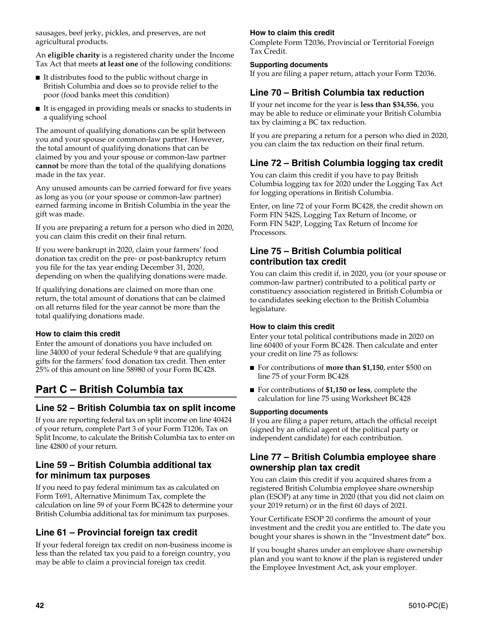sausages, beef jerky, pickles, and preserves, are not agricultural products.

An **eligible charity** is a registered charity under the Income Tax Act that meets **at least one** of the following conditions:

- It distributes food to the public without charge in British Columbia and does so to provide relief to the poor (food banks meet this condition)
- It is engaged in providing meals or snacks to students in a qualifying school

The amount of qualifying donations can be split between you and your spouse or common-law partner. However, the total amount of qualifying donations that can be claimed by you and your spouse or common-law partner **cannot** be more than the total of the qualifying donations made in the tax year.

Any unused amounts can be carried forward for five years as long as you (or your spouse or common-law partner) earned farming income in British Columbia in the year the gift was made.

If you are preparing a return for a person who died in 2020, you can claim this credit on their final return.

If you were bankrupt in 2020, claim your farmers' food donation tax credit on the pre- or post-bankruptcy return you file for the tax year ending December 31, 2020, depending on when the qualifying donations were made.

If qualifying donations are claimed on more than one return, the total amount of donations that can be claimed on all returns filed for the year cannot be more than the total qualifying donations made.

## **How to claim this credit**

Enter the amount of donations you have included on line 34000 of your federal Schedule 9 that are qualifying gifts for the farmers' food donation tax credit. Then enter 25% of this amount on line 58980 of your Form BC428.

# **Part C – British Columbia tax**

## **Line 52 – British Columbia tax on split income**

If you are reporting federal tax on split income on line 40424 of your return, complete Part 3 of your Form T1206, Tax on Split Income, to calculate the British Columbia tax to enter on line 42800 of your return.

## **Line 59 – British Columbia additional tax for minimum tax purposes**

If you need to pay federal minimum tax as calculated on Form T691, Alternative Minimum Tax, complete the calculation on line 59 of your Form BC428 to determine your British Columbia additional tax for minimum tax purposes.

## **Line 61 – Provincial foreign tax credit**

If your federal foreign tax credit on non-business income is less than the related tax you paid to a foreign country, you may be able to claim a provincial foreign tax credit.

### **How to claim this credit**

Complete Form T2036, Provincial or Territorial Foreign Tax Credit.

#### **Supporting documents**

If you are filing a paper return, attach your Form T2036.

## **Line 70 – British Columbia tax reduction**

If your net income for the year is **less than \$34,556**, you may be able to reduce or eliminate your British Columbia tax by claiming a BC tax reduction.

If you are preparing a return for a person who died in 2020, you can claim the tax reduction on their final return.

## **Line 72 – British Columbia logging tax credit**

You can claim this credit if you have to pay British Columbia logging tax for 2020 under the Logging Tax Act for logging operations in British Columbia.

Enter, on line 72 of your Form BC428, the credit shown on Form FIN 542S, Logging Tax Return of Income, or Form FIN 542P, Logging Tax Return of Income for Processors.

## **Line 75 – British Columbia political contribution tax credit**

You can claim this credit if, in 2020, you (or your spouse or common-law partner) contributed to a political party or constituency association registered in British Columbia or to candidates seeking election to the British Columbia legislature.

#### **How to claim this credit**

Enter your total political contributions made in 2020 on line 60400 of your Form BC428. Then calculate and enter your credit on line 75 as follows:

- For contributions of **more than \$1,150**, enter \$500 on line 75 of your Form BC428
- For contributions of \$1,150 or less, complete the calculation for line 75 using Worksheet BC428

#### **Supporting documents**

If you are filing a paper return, attach the official receipt (signed by an official agent of the political party or independent candidate) for each contribution.

## **Line 77 – British Columbia employee share ownership plan tax credit**

You can claim this credit if you acquired shares from a registered British Columbia employee share ownership plan (ESOP) at any time in 2020 (that you did not claim on your 2019 return) or in the first 60 days of 2021.

Your Certificate ESOP 20 confirms the amount of your investment and the credit you are entitled to. The date you bought your shares is shown in the "Investment date**"** box.

If you bought shares under an employee share ownership plan and you want to know if the plan is registered under the Employee Investment Act, ask your employer.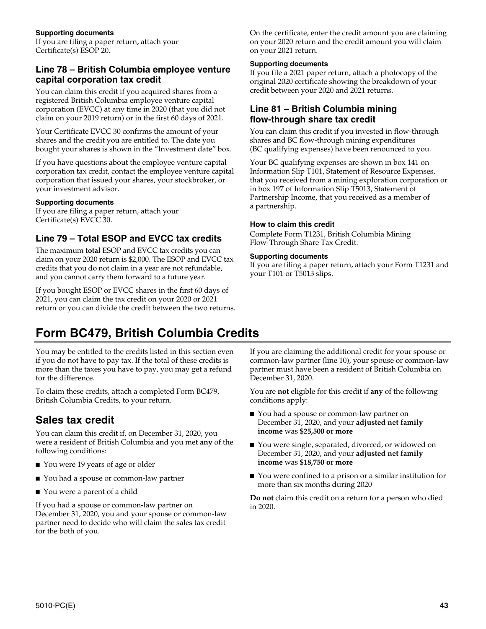If you are filing a paper return, attach your Certificate(s) ESOP 20.

## **Line 78 – British Columbia employee venture capital corporation tax credit**

You can claim this credit if you acquired shares from a registered British Columbia employee venture capital corporation (EVCC) at any time in 2020 (that you did not claim on your 2019 return) or in the first 60 days of 2021.

Your Certificate EVCC 30 confirms the amount of your shares and the credit you are entitled to. The date you bought your shares is shown in the "Investment date" box.

If you have questions about the employee venture capital corporation tax credit, contact the employee venture capital corporation that issued your shares, your stockbroker, or your investment advisor.

### **Supporting documents**

If you are filing a paper return, attach your Certificate(s) EVCC 30.

## **Line 79 – Total ESOP and EVCC tax credits**

The maximum **total** ESOP and EVCC tax credits you can claim on your 2020 return is \$2,000. The ESOP and EVCC tax credits that you do not claim in a year are not refundable, and you cannot carry them forward to a future year.

If you bought ESOP or EVCC shares in the first 60 days of 2021, you can claim the tax credit on your 2020 or 2021 return or you can divide the credit between the two returns. On the certificate, enter the credit amount you are claiming on your 2020 return and the credit amount you will claim on your 2021 return.

## **Supporting documents**

If you file a 2021 paper return, attach a photocopy of the original 2020 certificate showing the breakdown of your credit between your 2020 and 2021 returns.

## **Line 81 – British Columbia mining flow-through share tax credit**

You can claim this credit if you invested in flow-through shares and BC flow-through mining expenditures (BC qualifying expenses) have been renounced to you.

Your BC qualifying expenses are shown in box 141 on Information Slip T101, Statement of Resource Expenses, that you received from a mining exploration corporation or in box 197 of Information Slip T5013, Statement of Partnership Income, that you received as a member of a partnership.

### **How to claim this credit**

Complete Form T1231, British Columbia Mining Flow-Through Share Tax Credit.

### **Supporting documents**

If you are filing a paper return, attach your Form T1231 and your T101 or T5013 slips.

# **Form BC479, British Columbia Credits**

You may be entitled to the credits listed in this section even if you do not have to pay tax. If the total of these credits is more than the taxes you have to pay, you may get a refund for the difference.

To claim these credits, attach a completed Form BC479, British Columbia Credits, to your return.

# **Sales tax credit**

You can claim this credit if, on December 31, 2020, you were a resident of British Columbia and you met **any** of the following conditions:

- You were 19 years of age or older
- You had a spouse or common-law partner
- You were a parent of a child

If you had a spouse or common-law partner on December 31, 2020, you and your spouse or common-law partner need to decide who will claim the sales tax credit for the both of you.

If you are claiming the additional credit for your spouse or common-law partner (line 10), your spouse or common-law partner must have been a resident of British Columbia on December 31, 2020.

You are **not** eligible for this credit if **any** of the following conditions apply:

- You had a spouse or common-law partner on December 31, 2020, and your **adjusted net family income** was **\$25,500 or more**
- You were single, separated, divorced, or widowed on December 31, 2020, and your **adjusted net family income** was **\$18,750 or more**
- You were confined to a prison or a similar institution for more than six months during 2020

**Do not** claim this credit on a return for a person who died in 2020.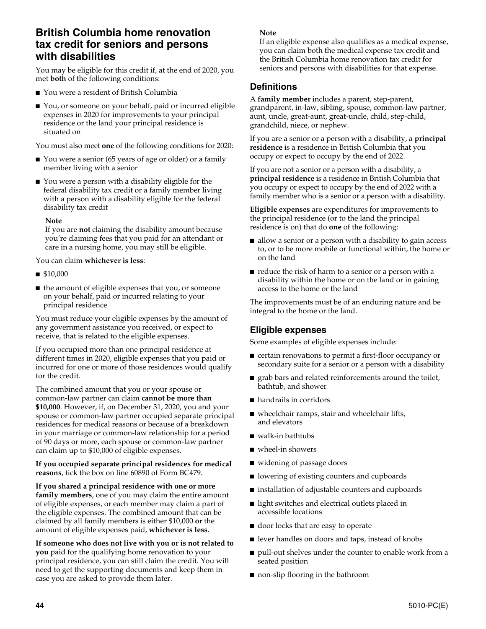## **British Columbia home renovation tax credit for seniors and persons with disabilities**

You may be eligible for this credit if, at the end of 2020, you met **both** of the following conditions:

- You were a resident of British Columbia
- You, or someone on your behalf, paid or incurred eligible expenses in 2020 for improvements to your principal residence or the land your principal residence is situated on

You must also meet **one** of the following conditions for 2020:

- You were a senior (65 years of age or older) or a family member living with a senior
- You were a person with a disability eligible for the federal disability tax credit or a family member living with a person with a disability eligible for the federal disability tax credit

#### **Note**

If you are **not** claiming the disability amount because you're claiming fees that you paid for an attendant or care in a nursing home, you may still be eligible.

You can claim **whichever is less**:

- \$10,000
- the amount of eligible expenses that you, or someone on your behalf, paid or incurred relating to your principal residence

You must reduce your eligible expenses by the amount of any government assistance you received, or expect to receive, that is related to the eligible expenses.

If you occupied more than one principal residence at different times in 2020, eligible expenses that you paid or incurred for one or more of those residences would qualify for the credit.

The combined amount that you or your spouse or common-law partner can claim **cannot be more than \$10,000**. However, if, on December 31, 2020, you and your spouse or common-law partner occupied separate principal residences for medical reasons or because of a breakdown in your marriage or common-law relationship for a period of 90 days or more, each spouse or common-law partner can claim up to \$10,000 of eligible expenses.

#### **If you occupied separate principal residences for medical reasons**, tick the box on line 60890 of Form BC479.

**If you shared a principal residence with one or more family members**, one of you may claim the entire amount of eligible expenses, or each member may claim a part of the eligible expenses. The combined amount that can be claimed by all family members is either \$10,000 **or** the amount of eligible expenses paid, **whichever is less**.

**If someone who does not live with you or is not related to you** paid for the qualifying home renovation to your principal residence, you can still claim the credit. You will need to get the supporting documents and keep them in case you are asked to provide them later.

#### **Note**

If an eligible expense also qualifies as a medical expense, you can claim both the medical expense tax credit and the British Columbia home renovation tax credit for seniors and persons with disabilities for that expense.

## **Definitions**

A **family member** includes a parent, step-parent, grandparent, in-law, sibling, spouse, common-law partner, aunt, uncle, great-aunt, great-uncle, child, step-child, grandchild, niece, or nephew.

If you are a senior or a person with a disability, a **principal residence** is a residence in British Columbia that you occupy or expect to occupy by the end of 2022.

If you are not a senior or a person with a disability, a **principal residence** is a residence in British Columbia that you occupy or expect to occupy by the end of 2022 with a family member who is a senior or a person with a disability.

**Eligible expenses** are expenditures for improvements to the principal residence (or to the land the principal residence is on) that do **one** of the following:

- allow a senior or a person with a disability to gain access to, or to be more mobile or functional within, the home or on the land
- reduce the risk of harm to a senior or a person with a disability within the home or on the land or in gaining access to the home or the land

The improvements must be of an enduring nature and be integral to the home or the land.

## **Eligible expenses**

Some examples of eligible expenses include:

- certain renovations to permit a first-floor occupancy or secondary suite for a senior or a person with a disability
- grab bars and related reinforcements around the toilet, bathtub, and shower
- handrails in corridors
- wheelchair ramps, stair and wheelchair lifts, and elevators
- walk-in bathtubs
- wheel-in showers
- widening of passage doors
- lowering of existing counters and cupboards
- installation of adjustable counters and cupboards
- light switches and electrical outlets placed in accessible locations
- door locks that are easy to operate
- lever handles on doors and taps, instead of knobs
- pull-out shelves under the counter to enable work from a seated position
- non-slip flooring in the bathroom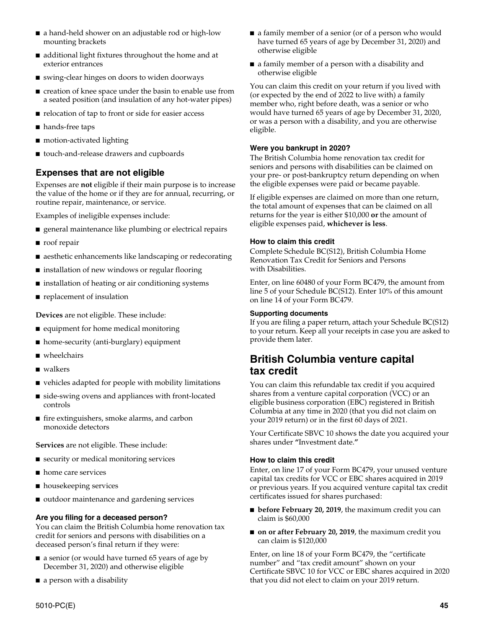- a hand-held shower on an adjustable rod or high-low mounting brackets
- additional light fixtures throughout the home and at exterior entrances
- swing-clear hinges on doors to widen doorways
- creation of knee space under the basin to enable use from a seated position (and insulation of any hot-water pipes)
- relocation of tap to front or side for easier access
- hands-free taps
- motion-activated lighting
- touch-and-release drawers and cupboards

## **Expenses that are not eligible**

Expenses are **not** eligible if their main purpose is to increase the value of the home or if they are for annual, recurring, or routine repair, maintenance, or service.

Examples of ineligible expenses include:

- general maintenance like plumbing or electrical repairs
- roof repair
- aesthetic enhancements like landscaping or redecorating
- installation of new windows or regular flooring
- installation of heating or air conditioning systems
- replacement of insulation

**Devices** are not eligible. These include:

- equipment for home medical monitoring
- home-security (anti-burglary) equipment
- wheelchairs
- walkers
- vehicles adapted for people with mobility limitations
- side-swing ovens and appliances with front-located controls
- fire extinguishers, smoke alarms, and carbon monoxide detectors

**Services** are not eligible. These include:

- security or medical monitoring services
- home care services
- housekeeping services
- outdoor maintenance and gardening services

## **Are you filing for a deceased person?**

You can claim the British Columbia home renovation tax credit for seniors and persons with disabilities on a deceased person's final return if they were:

- a senior (or would have turned 65 years of age by December 31, 2020) and otherwise eligible
- a person with a disability
- a family member of a senior (or of a person who would have turned 65 years of age by December 31, 2020) and otherwise eligible
- a family member of a person with a disability and otherwise eligible

You can claim this credit on your return if you lived with (or expected by the end of 2022 to live with) a family member who, right before death, was a senior or who would have turned 65 years of age by December 31, 2020, or was a person with a disability, and you are otherwise eligible.

### **Were you bankrupt in 2020?**

The British Columbia home renovation tax credit for seniors and persons with disabilities can be claimed on your pre- or post-bankruptcy return depending on when the eligible expenses were paid or became payable.

If eligible expenses are claimed on more than one return, the total amount of expenses that can be claimed on all returns for the year is either \$10,000 **or** the amount of eligible expenses paid, **whichever is less**.

### **How to claim this credit**

Complete Schedule BC(S12), British Columbia Home Renovation Tax Credit for Seniors and Persons with Disabilities.

Enter, on line 60480 of your Form BC479, the amount from line 5 of your Schedule BC(S12). Enter 10% of this amount on line 14 of your Form BC479.

#### **Supporting documents**

If you are filing a paper return, attach your Schedule BC(S12) to your return. Keep all your receipts in case you are asked to provide them later.

# **British Columbia venture capital tax credit**

You can claim this refundable tax credit if you acquired shares from a venture capital corporation (VCC) or an eligible business corporation (EBC) registered in British Columbia at any time in 2020 (that you did not claim on your 2019 return) or in the first 60 days of 2021.

Your Certificate SBVC 10 shows the date you acquired your shares under **"**Investment date.**"**

#### **How to claim this credit**

Enter, on line 17 of your Form BC479, your unused venture capital tax credits for VCC or EBC shares acquired in 2019 or previous years. If you acquired venture capital tax credit certificates issued for shares purchased:

- **before February 20, 2019**, the maximum credit you can claim is \$60,000
- **on or after February 20, 2019**, the maximum credit you can claim is \$120,000

Enter, on line 18 of your Form BC479, the "certificate number" and "tax credit amount" shown on your Certificate SBVC 10 for VCC or EBC shares acquired in 2020 that you did not elect to claim on your 2019 return.